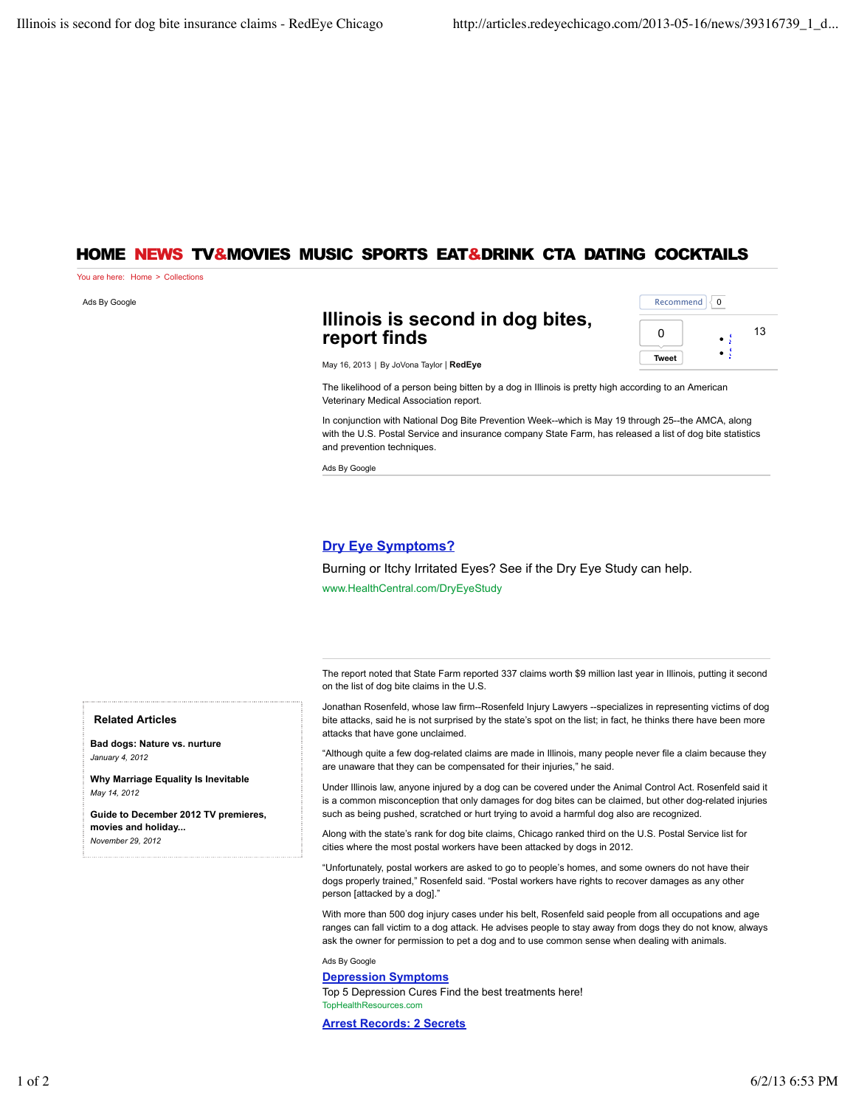## HOME NEWS TV&MOVIES MUSIC SPORTS EAT&DRINK CTA DATING COCKTAILS

You are here: Home > Collections

Ads By Google

# <sup>13</sup> **Illinois is second in dog bites, report finds**

| Recommend<br>$\Omega$ |    |
|-----------------------|----|
| n                     | 13 |
| <b>Tweet</b>          |    |

May 16, 2013 | By JoVona Taylor | **RedEye**

The likelihood of a person being bitten by a dog in Illinois is pretty high according to an American Veterinary Medical Association report.

In conjunction with National Dog Bite Prevention Week--which is May 19 through 25--the AMCA, along with the U.S. Postal Service and insurance company State Farm, has released a list of dog bite statistics and prevention techniques.

Ads By Google

### **Dry Eye Symptoms?**

Burning or Itchy Irritated Eyes? See if the Dry Eye Study can help. www.HealthCentral.com/DryEyeStudy

The report noted that State Farm reported 337 claims worth \$9 million last year in Illinois, putting it second on the list of dog bite claims in the U.S.

Jonathan Rosenfeld, whose law firm--Rosenfeld Injury Lawyers --specializes in representing victims of dog bite attacks, said he is not surprised by the state's spot on the list; in fact, he thinks there have been more attacks that have gone unclaimed.

"Although quite a few dog-related claims are made in Illinois, many people never file a claim because they are unaware that they can be compensated for their injuries," he said.

Under Illinois law, anyone injured by a dog can be covered under the Animal Control Act. Rosenfeld said it is a common misconception that only damages for dog bites can be claimed, but other dog-related injuries such as being pushed, scratched or hurt trying to avoid a harmful dog also are recognized.

Along with the state's rank for dog bite claims, Chicago ranked third on the U.S. Postal Service list for cities where the most postal workers have been attacked by dogs in 2012.

"Unfortunately, postal workers are asked to go to people's homes, and some owners do not have their dogs properly trained," Rosenfeld said. "Postal workers have rights to recover damages as any other person [attacked by a dog]."

With more than 500 dog injury cases under his belt, Rosenfeld said people from all occupations and age ranges can fall victim to a dog attack. He advises people to stay away from dogs they do not know, always ask the owner for permission to pet a dog and to use common sense when dealing with animals.

Ads By Google

### **Depression Symptoms**

Top 5 Depression Cures Find the best treatments here! TopHealthResources.com

**Arrest Records: 2 Secrets**

**Related Articles**

**Bad dogs: Nature vs. nurture** *January 4, 2012*

**Why Marriage Equality Is Inevitable** *May 14, 2012*

**Guide to December 2012 TV premieres, movies and holiday...** *November 29, 2012*